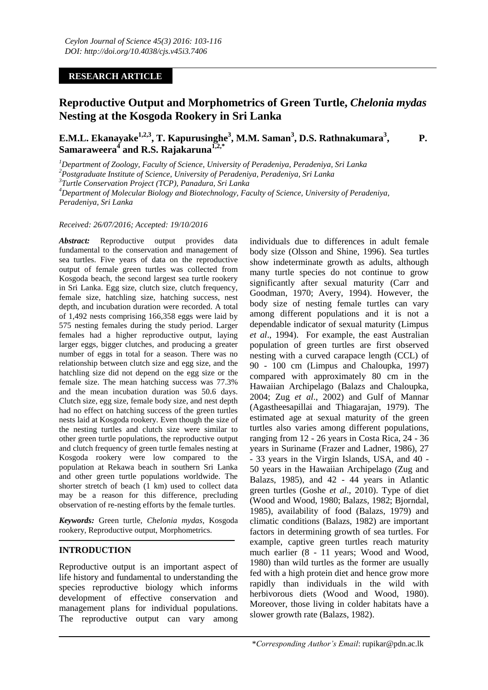## **RESEARCH ARTICLE**

# **Reproductive Output and Morphometrics of Green Turtle,** *Chelonia mydas*  **Nesting at the Kosgoda Rookery in Sri Lanka**

**E.M.L. Ekanayake1,2,3, T. Kapurusinghe<sup>3</sup> , M.M. Saman<sup>3</sup> , D.S. Rathnakumara<sup>3</sup> , P. Samaraweera<sup>4</sup> and R.S. Rajakaruna1,2,\***

*<sup>1</sup>Department of Zoology, Faculty of Science, University of Peradeniya, Peradeniya, Sri Lanka <sup>2</sup>Postgraduate Institute of Science, University of Peradeniya, Peradeniya, Sri Lanka*

*3 Turtle Conservation Project (TCP), Panadura, Sri Lanka*

*<sup>4</sup>Department of Molecular Biology and Biotechnology, Faculty of Science, University of Peradeniya, Peradeniya, Sri Lanka*

### *Received: 26/07/2016; Accepted: 19/10/2016*

*Abstract:* Reproductive output provides data fundamental to the conservation and management of sea turtles. Five years of data on the reproductive output of female green turtles was collected from Kosgoda beach, the second largest sea turtle rookery in Sri Lanka. Egg size, clutch size, clutch frequency, female size, hatchling size, hatching success, nest depth, and incubation duration were recorded. A total of 1,492 nests comprising 166,358 eggs were laid by 575 nesting females during the study period. Larger females had a higher reproductive output, laying larger eggs, bigger clutches, and producing a greater number of eggs in total for a season. There was no relationship between clutch size and egg size, and the hatchling size did not depend on the egg size or the female size. The mean hatching success was 77.3% and the mean incubation duration was 50.6 days. Clutch size, egg size, female body size, and nest depth had no effect on hatching success of the green turtles nests laid at Kosgoda rookery. Even though the size of the nesting turtles and clutch size were similar to other green turtle populations, the reproductive output and clutch frequency of green turtle females nesting at Kosgoda rookery were low compared to the population at Rekawa beach in southern Sri Lanka and other green turtle populations worldwide. The shorter stretch of beach (1 km) used to collect data may be a reason for this difference, precluding observation of re-nesting efforts by the female turtles.

*Keywords:* Green turtle, *Chelonia mydas*, Kosgoda rookery, Reproductive output, Morphometrics.

## **INTRODUCTION**

Reproductive output is an important aspect of life history and fundamental to understanding the species reproductive biology which informs development of effective conservation and management plans for individual populations. The reproductive output can vary among individuals due to differences in adult female body size (Olsson and Shine, 1996). Sea turtles show indeterminate growth as adults, although many turtle species do not continue to grow significantly after sexual maturity (Carr and Goodman, 1970; Avery, 1994). However, the body size of nesting female turtles can vary among different populations and it is not a dependable indicator of sexual maturity (Limpus *et al*., 1994). For example, the east Australian population of green turtles are first observed nesting with a curved carapace length (CCL) of 90 - 100 cm (Limpus and Chaloupka, 1997) compared with approximately 80 cm in the Hawaiian Archipelago (Balazs and Chaloupka, 2004; Zug *et al*., 2002) and Gulf of Mannar (Agastheesapillai and Thiagarajan, 1979). The estimated age at sexual maturity of the green turtles also varies among different populations, ranging from 12 - 26 years in Costa Rica, 24 - 36 years in Suriname (Frazer and Ladner, 1986), 27 - 33 years in the Virgin Islands, USA, and 40 - 50 years in the Hawaiian Archipelago (Zug and Balazs, 1985), and 42 - 44 years in Atlantic green turtles (Goshe *et al*., 2010). Type of diet (Wood and Wood, 1980; Balazs, 1982; Bjorndal, 1985), availability of food (Balazs, 1979) and climatic conditions (Balazs, 1982) are important factors in determining growth of sea turtles. For example, captive green turtles reach maturity much earlier (8 - 11 years; Wood and Wood, 1980) than wild turtles as the former are usually fed with a high protein diet and hence grow more rapidly than individuals in the wild with herbivorous diets (Wood and Wood, 1980). Moreover, those living in colder habitats have a slower growth rate (Balazs, 1982).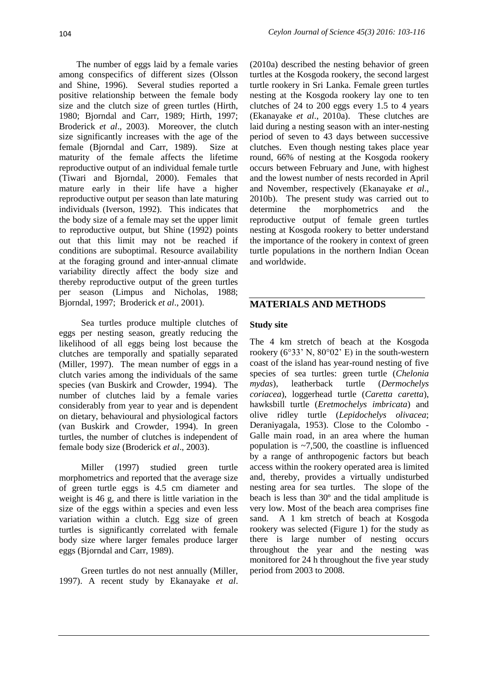The number of eggs laid by a female varies among conspecifics of different sizes (Olsson and Shine, 1996). Several studies reported a positive relationship between the female body size and the clutch size of green turtles (Hirth, 1980; Bjorndal and Carr, 1989; Hirth, 1997; Broderick *et al*., 2003). Moreover, the clutch size significantly increases with the age of the female (Bjorndal and Carr, 1989). Size at maturity of the female affects the lifetime reproductive output of an individual female turtle (Tiwari and Bjorndal, 2000). Females that mature early in their life have a higher reproductive output per season than late maturing individuals (Iverson, 1992). This indicates that the body size of a female may set the upper limit to reproductive output, but Shine (1992) points out that this limit may not be reached if conditions are suboptimal. Resource availability at the foraging ground and inter-annual climate variability directly affect the body size and thereby reproductive output of the green turtles per season (Limpus and Nicholas, 1988; Bjorndal, 1997; Broderick *et al*., 2001).

Sea turtles produce multiple clutches of eggs per nesting season, greatly reducing the likelihood of all eggs being lost because the clutches are temporally and spatially separated (Miller, 1997). The mean number of eggs in a clutch varies among the individuals of the same species (van Buskirk and Crowder, 1994). The number of clutches laid by a female varies considerably from year to year and is dependent on dietary, behavioural and physiological factors (van Buskirk and Crowder, 1994). In green turtles, the number of clutches is independent of female body size (Broderick *et al*., 2003).

Miller (1997) studied green turtle morphometrics and reported that the average size of green turtle eggs is 4.5 cm diameter and weight is 46 g, and there is little variation in the size of the eggs within a species and even less variation within a clutch. Egg size of green turtles is significantly correlated with female body size where larger females produce larger eggs (Bjorndal and Carr, 1989).

Green turtles do not nest annually (Miller, 1997). A recent study by Ekanayake *et al*.

(2010a) described the nesting behavior of green turtles at the Kosgoda rookery, the second largest turtle rookery in Sri Lanka. Female green turtles nesting at the Kosgoda rookery lay one to ten clutches of 24 to 200 eggs every 1.5 to 4 years (Ekanayake *et al*., 2010a). These clutches are laid during a nesting season with an inter-nesting period of seven to 43 days between successive clutches. Even though nesting takes place year round, 66% of nesting at the Kosgoda rookery occurs between February and June, with highest and the lowest number of nests recorded in April and November, respectively (Ekanayake *et al*., 2010b). The present study was carried out to determine the morphometrics and the reproductive output of female green turtles nesting at Kosgoda rookery to better understand the importance of the rookery in context of green turtle populations in the northern Indian Ocean and worldwide.

## **MATERIALS AND METHODS**

## **Study site**

The 4 km stretch of beach at the Kosgoda rookery ( $6^{\circ}33'$  N,  $80^{\circ}02'$  E) in the south-western coast of the island has year-round nesting of five species of sea turtles: green turtle (*Chelonia mydas*), leatherback turtle (*Dermochelys coriacea*), loggerhead turtle (*Caretta caretta*), hawksbill turtle (*Eretmochelys imbricata*) and olive ridley turtle (*Lepidochelys olivacea*; Deraniyagala, 1953). Close to the Colombo - Galle main road, in an area where the human population is  $\sim$ 7,500, the coastline is influenced by a range of anthropogenic factors but beach access within the rookery operated area is limited and, thereby, provides a virtually undisturbed nesting area for sea turtles. The slope of the beach is less than 30º and the tidal amplitude is very low. Most of the beach area comprises fine sand. A 1 km stretch of beach at Kosgoda rookery was selected (Figure 1) for the study as there is large number of nesting occurs throughout the year and the nesting was monitored for 24 h throughout the five year study period from 2003 to 2008.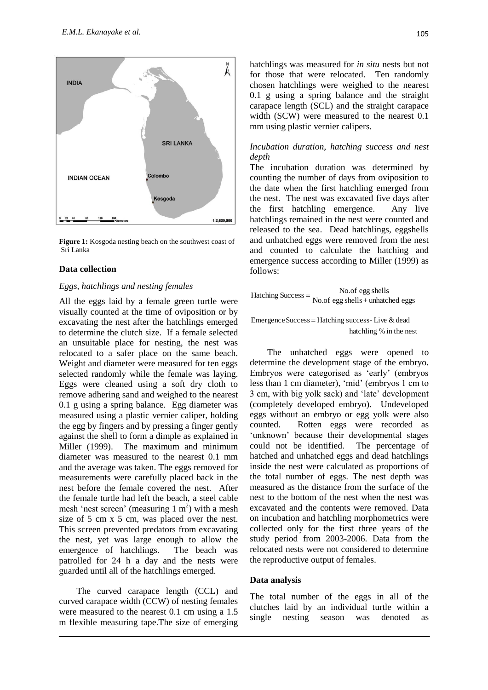

**Figure 1:** Kosgoda nesting beach on the southwest coast of Sri Lanka

### **Data collection**

#### *Eggs, hatchlings and nesting females*

All the eggs laid by a female green turtle were visually counted at the time of oviposition or by excavating the nest after the hatchlings emerged to determine the clutch size. If a female selected an unsuitable place for nesting, the nest was relocated to a safer place on the same beach. Weight and diameter were measured for ten eggs selected randomly while the female was laying. Eggs were cleaned using a soft dry cloth to remove adhering sand and weighed to the nearest 0.1 g using a spring balance. Egg diameter was measured using a plastic vernier caliper, holding the egg by fingers and by pressing a finger gently against the shell to form a dimple as explained in Miller (1999). The maximum and minimum diameter was measured to the nearest 0.1 mm and the average was taken. The eggs removed for measurements were carefully placed back in the nest before the female covered the nest. After the female turtle had left the beach, a steel cable mesh 'nest screen' (measuring  $1 \text{ m}^2$ ) with a mesh size of 5 cm x 5 cm, was placed over the nest. This screen prevented predators from excavating the nest, yet was large enough to allow the emergence of hatchlings. The beach was patrolled for 24 h a day and the nests were guarded until all of the hatchlings emerged.

The curved carapace length (CCL) and curved carapace width (CCW) of nesting females were measured to the nearest 0.1 cm using a 1.5 m flexible measuring tape.The size of emerging hatchlings was measured for *in situ* nests but not for those that were relocated. Ten randomly chosen hatchlings were weighed to the nearest 0.1 g using a spring balance and the straight carapace length (SCL) and the straight carapace width (SCW) were measured to the nearest 0.1 mm using plastic vernier calipers.

## *Incubation duration, hatching success and nest depth*

The incubation duration was determined by counting the number of days from oviposition to the date when the first hatchling emerged from the nest. The nest was excavated five days after the first hatchling emergence. Any live hatchlings remained in the nest were counted and released to the sea. Dead hatchlings, eggshells and unhatched eggs were removed from the nest and counted to calculate the hatching and emergence success according to Miller (1999) as follows:

$$
Hatching Success = \frac{No.of egg shells}{No.of egg shells + unhatched eggs}
$$

 hatchling % in the nest Emergence Success = Hatching success- Live  $&$  dead

The unhatched eggs were opened to determine the development stage of the embryo. Embryos were categorised as 'early' (embryos less than 1 cm diameter), 'mid' (embryos 1 cm to 3 cm, with big yolk sack) and 'late' development (completely developed embryo). Undeveloped eggs without an embryo or egg yolk were also counted. Rotten eggs were recorded as 'unknown' because their developmental stages could not be identified. The percentage of hatched and unhatched eggs and dead hatchlings inside the nest were calculated as proportions of the total number of eggs. The nest depth was measured as the distance from the surface of the nest to the bottom of the nest when the nest was excavated and the contents were removed. Data on incubation and hatchling morphometrics were collected only for the first three years of the study period from 2003-2006. Data from the relocated nests were not considered to determine the reproductive output of females.

#### **Data analysis**

The total number of the eggs in all of the clutches laid by an individual turtle within a single nesting season was denoted as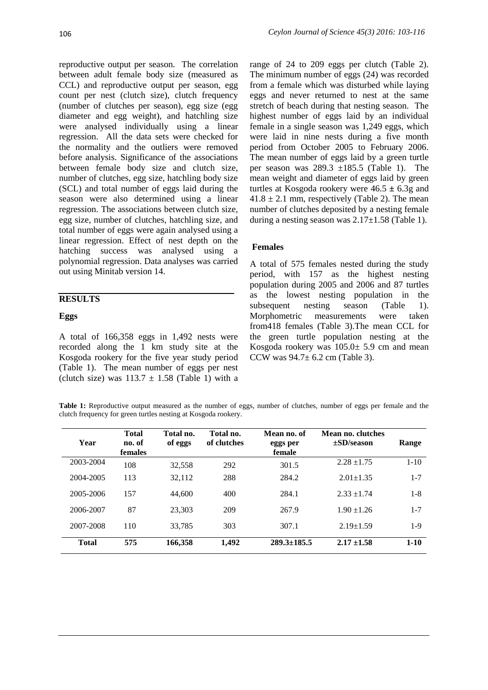reproductive output per season. The correlation between adult female body size (measured as CCL) and reproductive output per season, egg count per nest (clutch size), clutch frequency (number of clutches per season), egg size (egg diameter and egg weight), and hatchling size were analysed individually using a linear regression. All the data sets were checked for the normality and the outliers were removed before analysis. Significance of the associations between female body size and clutch size, number of clutches, egg size, hatchling body size (SCL) and total number of eggs laid during the season were also determined using a linear regression. The associations between clutch size, egg size, number of clutches, hatchling size, and total number of eggs were again analysed using a linear regression. Effect of nest depth on the hatching success was analysed using a polynomial regression. Data analyses was carried out using Minitab version 14.

## **RESULTS**

## **Eggs**

A total of 166,358 eggs in 1,492 nests were recorded along the 1 km study site at the Kosgoda rookery for the five year study period (Table 1). The mean number of eggs per nest (clutch size) was  $113.7 \pm 1.58$  (Table 1) with a range of 24 to 209 eggs per clutch (Table 2). The minimum number of eggs (24) was recorded from a female which was disturbed while laying eggs and never returned to nest at the same stretch of beach during that nesting season. The highest number of eggs laid by an individual female in a single season was 1,249 eggs, which were laid in nine nests during a five month period from October 2005 to February 2006. The mean number of eggs laid by a green turtle per season was  $289.3 \pm 185.5$  (Table 1). The mean weight and diameter of eggs laid by green turtles at Kosgoda rookery were 46.5 **±** 6.3g and  $41.8 \pm 2.1$  mm, respectively (Table 2). The mean number of clutches deposited by a nesting female during a nesting season was  $2.17 \pm 1.58$  (Table 1).

## **Females**

A total of 575 females nested during the study period, with 157 as the highest nesting population during 2005 and 2006 and 87 turtles as the lowest nesting population in the subsequent nesting season (Table 1). Morphometric measurements were taken from418 females (Table 3).The mean CCL for the green turtle population nesting at the Kosgoda rookery was  $105.0 \pm 5.9$  cm and mean CCW was 94.7± 6.2 cm (Table 3).

**Table 1:** Reproductive output measured as the number of eggs, number of clutches, number of eggs per female and the clutch frequency for green turtles nesting at Kosgoda rookery.

| Year         | <b>Total</b><br>no. of<br><b>females</b> | Total no.<br>of eggs | Total no.<br>of clutches | Mean no. of<br>eggs per<br>female | Mean no. clutches<br>$\pm$ SD/season | Range    |
|--------------|------------------------------------------|----------------------|--------------------------|-----------------------------------|--------------------------------------|----------|
| 2003-2004    | 108                                      | 32,558               | 292                      | 301.5                             | $2.28 \pm 1.75$                      | $1 - 10$ |
| 2004-2005    | 113                                      | 32.112               | 288                      | 284.2                             | $2.01 \pm 1.35$                      | $1 - 7$  |
| 2005-2006    | 157                                      | 44,600               | 400                      | 284.1                             | $2.33 + 1.74$                        | $1 - 8$  |
| 2006-2007    | 87                                       | 23,303               | 209                      | 267.9                             | $1.90 \pm 1.26$                      | $1 - 7$  |
| 2007-2008    | 110                                      | 33,785               | 303                      | 307.1                             | $2.19 \pm 1.59$                      | $1-9$    |
| <b>Total</b> | 575                                      | 166,358              | 1,492                    | $289.3 \pm 185.5$                 | $2.17 \pm 1.58$                      | $1 - 10$ |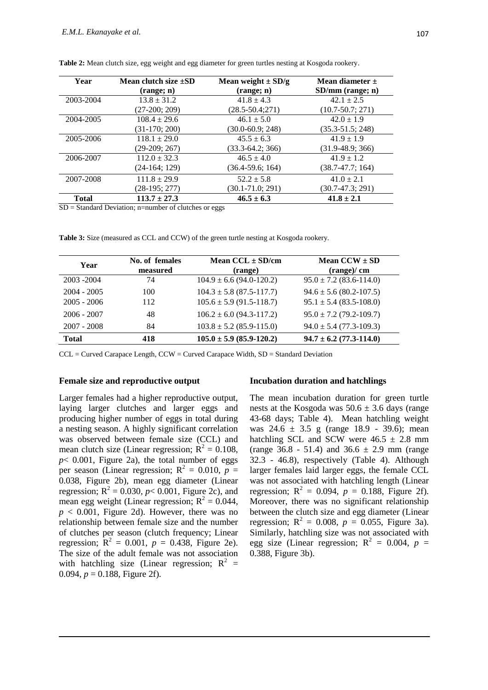| Year         | Mean clutch size $\pm SD$ | Mean weight $\pm$ SD/g | Mean diameter $\pm$  |
|--------------|---------------------------|------------------------|----------------------|
|              | (range; n)                | (range; n)             | $SD/mm$ (range; n)   |
| 2003-2004    | $13.8 \pm 31.2$           | $41.8 \pm 4.3$         | $42.1 \pm 2.5$       |
|              | $(27-200; 209)$           | $(28.5 - 50.4; 271)$   | $(10.7 - 50.7; 271)$ |
| 2004-2005    | $108.4 \pm 29.6$          | $46.1 \pm 5.0$         | $42.0 \pm 1.9$       |
|              | $(31-170; 200)$           | $(30.0 - 60.9; 248)$   | $(35.3 - 51.5; 248)$ |
| 2005-2006    | $118.1 \pm 29.0$          | $45.5 \pm 6.3$         | $41.9 \pm 1.9$       |
|              | $(29-209; 267)$           | $(33.3-64.2; 366)$     | $(31.9-48.9; 366)$   |
| 2006-2007    | $112.0 \pm 32.3$          | $46.5 \pm 4.0$         | $41.9 \pm 1.2$       |
|              | $(24-164; 129)$           | $(36.4 - 59.6; 164)$   | $(38.7 - 47.7; 164)$ |
| 2007-2008    | $111.8 \pm 29.9$          | $52.2 \pm 5.8$         | $41.0 \pm 2.1$       |
|              | (28-195; 277)             | $(30.1 - 71.0; 291)$   | $(30.7 - 47.3; 291)$ |
| <b>Total</b> | $113.7 \pm 27.3$          | $46.5 \pm 6.3$         | $41.8 \pm 2.1$       |

**Table 2:** Mean clutch size, egg weight and egg diameter for green turtles nesting at Kosgoda rookery.

 $SD = Standard Deviation; n=number of cl~~uches or eggs~~$ 

**Table 3:** Size (measured as CCL and CCW) of the green turtle nesting at Kosgoda rookery.

| Year          | No. of females<br>measured | Mean $CCL \pm SD/cm$<br>(range) | Mean $CCW \pm SD$<br>(range)/cm |
|---------------|----------------------------|---------------------------------|---------------------------------|
| 2003 - 2004   | 74                         | $104.9 \pm 6.6$ (94.0-120.2)    | $95.0 \pm 7.2$ (83.6-114.0)     |
| $2004 - 2005$ | 100                        | $104.3 \pm 5.8$ (87.5-117.7)    | $94.6 \pm 5.6$ (80.2-107.5)     |
| $2005 - 2006$ | 112                        | $105.6 \pm 5.9$ (91.5-118.7)    | $95.1 \pm 5.4$ (83.5-108.0)     |
| $2006 - 2007$ | 48                         | $106.2 \pm 6.0$ (94.3-117.2)    | $95.0 \pm 7.2$ (79.2-109.7)     |
| $2007 - 2008$ | 84                         | $103.8 \pm 5.2$ (85.9-115.0)    | $94.0 \pm 5.4$ (77.3-109.3)     |
| <b>Total</b>  | 418                        | $105.0 \pm 5.9$ (85.9-120.2)    | $94.7 \pm 6.2$ (77.3-114.0)     |

 $CCL = Curved Carapace Length, CCW = Curved Carapace Width, SD = Standard Deviation$ 

#### **Female size and reproductive output**

Larger females had a higher reproductive output, laying larger clutches and larger eggs and producing higher number of eggs in total during a nesting season. A highly significant correlation was observed between female size (CCL) and mean clutch size (Linear regression;  $R^2 = 0.108$ ,  $p$ < 0.001, Figure 2a), the total number of eggs per season (Linear regression;  $R^2 = 0.010$ ,  $p =$ 0.038, Figure 2b), mean egg diameter (Linear regression;  $R^2 = 0.030$ ,  $p < 0.001$ , Figure 2c), and mean egg weight (Linear regression;  $R^2 = 0.044$ ,  $p < 0.001$ , Figure 2d). However, there was no relationship between female size and the number of clutches per season (clutch frequency; Linear regression;  $\mathbf{\bar{R}}^2 = 0.001$ ,  $p = 0.438$ , Figure 2e). The size of the adult female was not association with hatchling size (Linear regression;  $R^2$  = 0.094,  $p = 0.188$ , Figure 2f).

#### **Incubation duration and hatchlings**

The mean incubation duration for green turtle nests at the Kosgoda was  $50.6 \pm 3.6$  days (range 43-68 days; Table 4). Mean hatchling weight was  $24.6 \pm 3.5$  g (range 18.9 - 39.6); mean hatchling SCL and SCW were  $46.5 \pm 2.8$  mm (range  $36.8 - 51.4$ ) and  $36.6 \pm 2.9$  mm (range 32.3 - 46.8), respectively (Table 4). Although larger females laid larger eggs, the female CCL was not associated with hatchling length (Linear regression;  $R^2 = 0.094$ ,  $p = 0.188$ , Figure 2f). Moreover, there was no significant relationship between the clutch size and egg diameter (Linear regression;  $R^2 = 0.008$ ,  $p = 0.055$ , Figure 3a). Similarly, hatchling size was not associated with egg size (Linear regression;  $R^2 = 0.004$ ,  $p =$ 0.388, Figure 3b).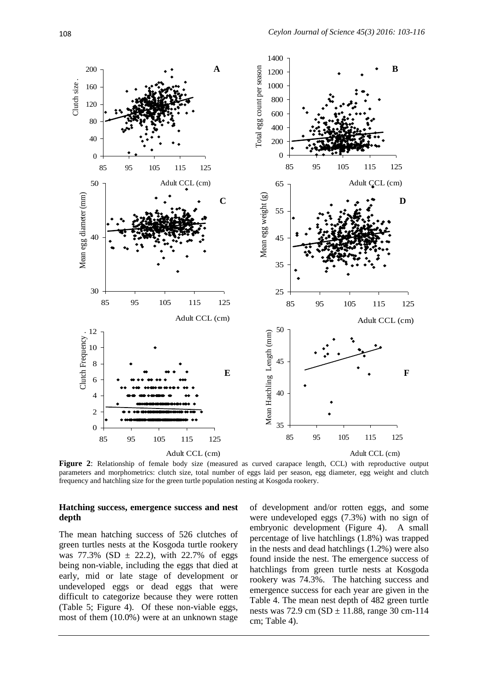

**Figure 2**: Relationship of female body size (measured as curved carapace length, CCL) with reproductive output parameters and morphometrics: clutch size, total number of eggs laid per season, egg diameter, egg weight and clutch frequency and hatchling size for the green turtle population nesting at Kosgoda rookery.

#### **Hatching success, emergence success and nest depth**

The mean hatching success of 526 clutches of green turtles nests at the Kosgoda turtle rookery was  $77.3\%$  (SD  $\pm$  22.2), with 22.7% of eggs being non-viable, including the eggs that died at early, mid or late stage of development or undeveloped eggs or dead eggs that were difficult to categorize because they were rotten (Table 5; Figure 4). Of these non-viable eggs, most of them (10.0%) were at an unknown stage of development and/or rotten eggs, and some were undeveloped eggs (7.3%) with no sign of embryonic development (Figure 4). A small percentage of live hatchlings (1.8%) was trapped in the nests and dead hatchlings (1.2%) were also found inside the nest. The emergence success of hatchlings from green turtle nests at Kosgoda rookery was 74.3%. The hatching success and emergence success for each year are given in the Table 4. The mean nest depth of 482 green turtle nests was 72.9 cm (SD  $\pm$  11.88, range 30 cm-114 cm; Table 4).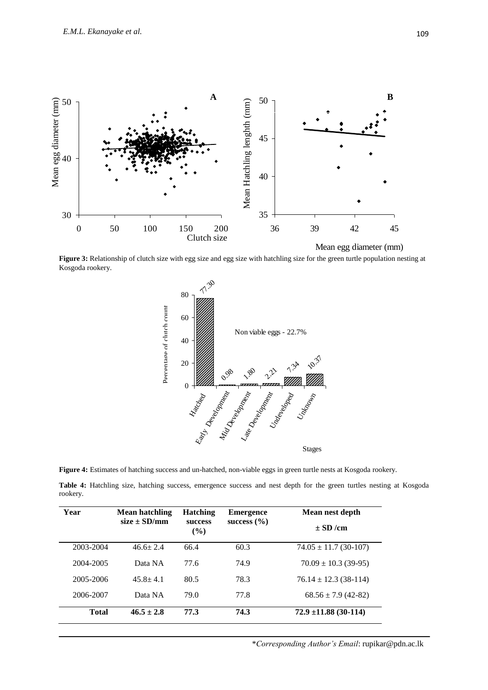

**Figure 3:** Relationship of clutch size with egg size and egg size with hatchling size for the green turtle population nesting at Kosgoda rookery.



**Figure 4:** Estimates of hatching success and un-hatched, non-viable eggs in green turtle nests at Kosgoda rookery.

**Table 4:** Hatchling size, hatching success, emergence success and nest depth for the green turtles nesting at Kosgoda rookery.

| Year         | Mean hatchling   | <b>Hatching</b>          | <b>Emergence</b> | Mean nest depth           |  |
|--------------|------------------|--------------------------|------------------|---------------------------|--|
|              | $size \pm SD/mm$ | <b>SUCCESS</b><br>$($ %) | success $(\% )$  | $\pm$ SD /cm              |  |
| 2003-2004    | $46.6 \pm 2.4$   | 66.4                     | 60.3             | $74.05 \pm 11.7$ (30-107) |  |
| 2004-2005    | Data NA          | 77.6                     | 74.9             | $70.09 \pm 10.3$ (39-95)  |  |
| 2005-2006    | $45.8 \pm 4.1$   | 80.5                     | 78.3             | $76.14 \pm 12.3$ (38-114) |  |
| 2006-2007    | Data NA          | 79.0                     | 77.8             | $68.56 \pm 7.9$ (42-82)   |  |
| <b>Total</b> | $46.5 \pm 2.8$   | 77.3                     | 74.3             | $72.9 \pm 11.88$ (30-114) |  |

\**Corresponding Author's Email*: rupikar@pdn.ac.lk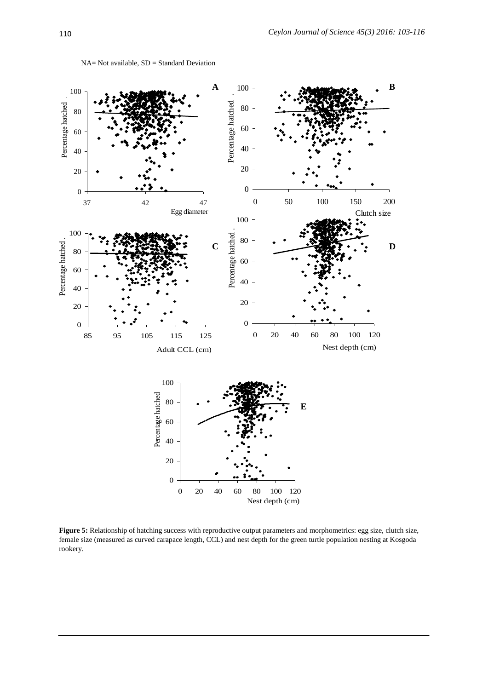

NA= Not available, SD = Standard Deviation

Figure 5: Relationship of hatching success with reproductive output parameters and morphometrics: egg size, clutch size, female size (measured as curved carapace length, CCL) and nest depth for the green turtle population nesting at Kosgoda rookery.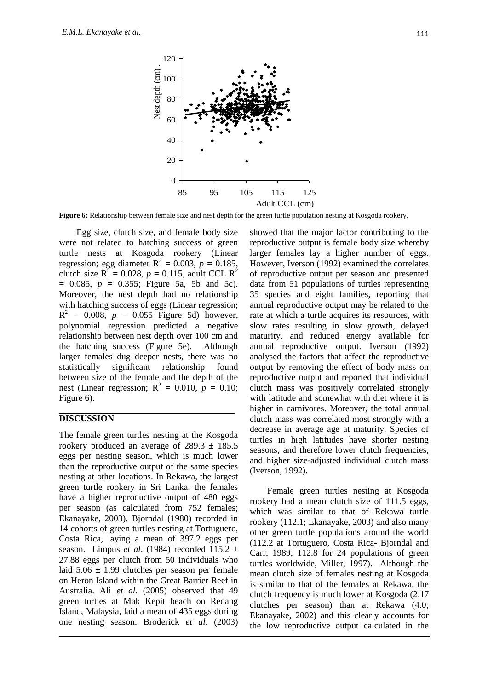

**Figure 6:** Relationship between female size and nest depth for the green turtle population nesting at Kosgoda rookery.

Egg size, clutch size, and female body size were not related to hatching success of green turtle nests at Kosgoda rookery (Linear regression; egg diameter  $R^2 = 0.003$ ,  $p = 0.185$ , clutch size  $R^2 = 0.028$ ,  $p = 0.115$ , adult CCL  $R^2$  $= 0.085$ ,  $p = 0.355$ ; Figure 5a, 5b and 5c). Moreover, the nest depth had no relationship with hatching success of eggs (Linear regression;  $R^2 = 0.008$ ,  $p = 0.055$  Figure 5d) however, polynomial regression predicted a negative relationship between nest depth over 100 cm and the hatching success (Figure 5e). Although larger females dug deeper nests, there was no statistically significant relationship found between size of the female and the depth of the nest (Linear regression;  $R^2 = 0.010$ ,  $p = 0.10$ ; Figure 6).

## **DISCUSSION**

The female green turtles nesting at the Kosgoda rookery produced an average of  $289.3 \pm 185.5$ eggs per nesting season, which is much lower than the reproductive output of the same species nesting at other locations. In Rekawa, the largest green turtle rookery in Sri Lanka, the females have a higher reproductive output of 480 eggs per season (as calculated from 752 females; Ekanayake, 2003). Bjorndal (1980) recorded in 14 cohorts of green turtles nesting at Tortuguero, Costa Rica, laying a mean of 397.2 eggs per season. Limpus *et al*. (1984) recorded 115.2 ± 27.88 eggs per clutch from 50 individuals who laid  $5.06 \pm 1.99$  clutches per season per female on Heron Island within the Great Barrier Reef in Australia. Ali *et al*. (2005) observed that 49 green turtles at Mak Kepit beach on Redang Island, Malaysia, laid a mean of 435 eggs during one nesting season. Broderick *et al*. (2003)

showed that the major factor contributing to the reproductive output is female body size whereby larger females lay a higher number of eggs. However, Iverson (1992) examined the correlates of reproductive output per season and presented data from 51 populations of turtles representing 35 species and eight families, reporting that annual reproductive output may be related to the rate at which a turtle acquires its resources, with slow rates resulting in slow growth, delayed maturity, and reduced energy available for annual reproductive output. Iverson (1992) analysed the factors that affect the reproductive output by removing the effect of body mass on reproductive output and reported that individual clutch mass was positively correlated strongly with latitude and somewhat with diet where it is higher in carnivores. Moreover, the total annual clutch mass was correlated most strongly with a decrease in average age at maturity. Species of turtles in high latitudes have shorter nesting seasons, and therefore lower clutch frequencies, and higher size-adjusted individual clutch mass (Iverson, 1992).

Female green turtles nesting at Kosgoda rookery had a mean clutch size of 111.5 eggs, which was similar to that of Rekawa turtle rookery (112.1; Ekanayake, 2003) and also many other green turtle populations around the world (112.2 at Tortuguero, Costa Rica- Bjorndal and Carr, 1989; 112.8 for 24 populations of green turtles worldwide, Miller, 1997). Although the mean clutch size of females nesting at Kosgoda is similar to that of the females at Rekawa, the clutch frequency is much lower at Kosgoda (2.17 clutches per season) than at Rekawa (4.0; Ekanayake, 2002) and this clearly accounts for the low reproductive output calculated in the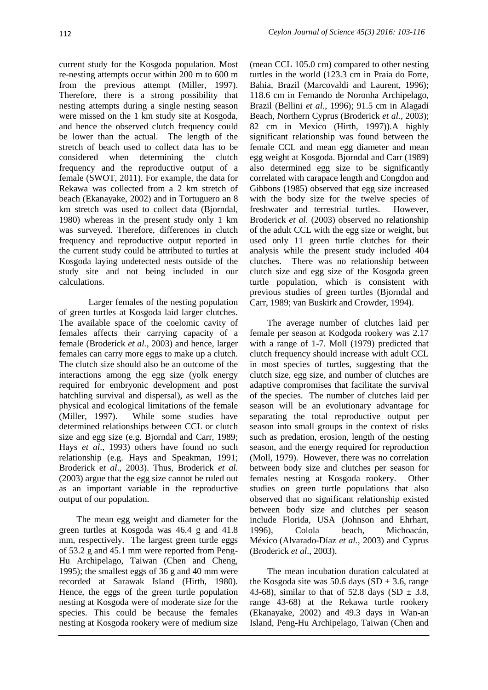current study for the Kosgoda population. Most re-nesting attempts occur within 200 m to 600 m from the previous attempt (Miller, 1997). Therefore, there is a strong possibility that nesting attempts during a single nesting season were missed on the 1 km study site at Kosgoda, and hence the observed clutch frequency could be lower than the actual. The length of the stretch of beach used to collect data has to be considered when determining the clutch frequency and the reproductive output of a female (SWOT, 2011). For example, the data for Rekawa was collected from a 2 km stretch of beach (Ekanayake, 2002) and in Tortuguero an 8 km stretch was used to collect data (Bjorndal, 1980) whereas in the present study only 1 km was surveyed. Therefore, differences in clutch frequency and reproductive output reported in the current study could be attributed to turtles at Kosgoda laying undetected nests outside of the study site and not being included in our calculations.

Larger females of the nesting population of green turtles at Kosgoda laid larger clutches. The available space of the coelomic cavity of females affects their carrying capacity of a female (Broderick *et al.*, 2003) and hence, larger females can carry more eggs to make up a clutch. The clutch size should also be an outcome of the interactions among the egg size (yolk energy required for embryonic development and post hatchling survival and dispersal), as well as the physical and ecological limitations of the female (Miller, 1997). While some studies have determined relationships between CCL or clutch size and egg size (e.g. Bjorndal and Carr, 1989; Hays *et al*., 1993) others have found no such relationship (e.g. Hays and Speakman, 1991; Broderick e*t al*., 2003). Thus, Broderick *et al.* (2003) argue that the egg size cannot be ruled out as an important variable in the reproductive output of our population.

The mean egg weight and diameter for the green turtles at Kosgoda was 46.4 g and 41.8 mm, respectively. The largest green turtle eggs of 53.2 g and 45.1 mm were reported from Peng-Hu Archipelago, Taiwan (Chen and Cheng, 1995); the smallest eggs of 36 g and 40 mm were recorded at Sarawak Island (Hirth, 1980). Hence, the eggs of the green turtle population nesting at Kosgoda were of moderate size for the species. This could be because the females nesting at Kosgoda rookery were of medium size

(mean CCL 105.0 cm) compared to other nesting turtles in the world (123.3 cm in Praia do Forte, Bahia, Brazil (Marcovaldi and Laurent, 1996); 118.6 cm in Fernando de Noronha Archipelago, Brazil (Bellini *et al.*, 1996); 91.5 cm in Alagadi Beach, Northern Cyprus (Broderick *et al.*, 2003); 82 cm in Mexico (Hirth, 1997)).A highly significant relationship was found between the female CCL and mean egg diameter and mean egg weight at Kosgoda. Bjorndal and Carr (1989) also determined egg size to be significantly correlated with carapace length and Congdon and Gibbons (1985) observed that egg size increased with the body size for the twelve species of freshwater and terrestrial turtles. However, Broderick *et al.* (2003) observed no relationship of the adult CCL with the egg size or weight, but used only 11 green turtle clutches for their analysis while the present study included 404 clutches. There was no relationship between clutch size and egg size of the Kosgoda green turtle population, which is consistent with previous studies of green turtles (Bjorndal and Carr, 1989; van Buskirk and Crowder, 1994).

The average number of clutches laid per female per season at Kodgoda rookery was 2.17 with a range of 1-7. Moll (1979) predicted that clutch frequency should increase with adult CCL in most species of turtles, suggesting that the clutch size, egg size, and number of clutches are adaptive compromises that facilitate the survival of the species. The number of clutches laid per season will be an evolutionary advantage for separating the total reproductive output per season into small groups in the context of risks such as predation, erosion, length of the nesting season, and the energy required for reproduction (Moll, 1979). However, there was no correlation between body size and clutches per season for females nesting at Kosgoda rookery. Other studies on green turtle populations that also observed that no significant relationship existed between body size and clutches per season include Florida, USA (Johnson and Ehrhart, 1996), Colola beach, Michoacán, México (Alvarado-Díaz *et al.,* 2003) and Cyprus (Broderick *et al*., 2003).

The mean incubation duration calculated at the Kosgoda site was 50.6 days  $(SD \pm 3.6, \text{ range})$ 43-68), similar to that of 52.8 days (SD  $\pm$  3.8, range 43-68) at the Rekawa turtle rookery (Ekanayake, 2002) and 49.3 days in Wan-an Island, Peng-Hu Archipelago, Taiwan (Chen and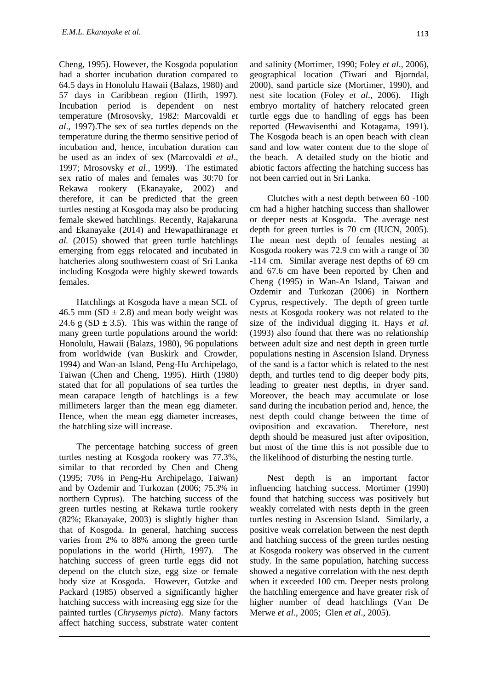Cheng, 1995). However, the Kosgoda population had a shorter incubation duration compared to 64.5 days in Honolulu Hawaii (Balazs, 1980) and 57 days in Caribbean region (Hirth, 1997). Incubation period is dependent on nest temperature (Mrosovsky, 1982: Marcovaldi *et al*., 1997).The sex of sea turtles depends on the temperature during the thermo sensitive period of incubation and, hence, incubation duration can be used as an index of sex (Marcovaldi *et al*., 1997; Mrosovsky *et al*., 1999**)**. The estimated sex ratio of males and females was 30:70 for Rekawa rookery (Ekanayake, 2002) and therefore, it can be predicted that the green turtles nesting at Kosgoda may also be producing female skewed hatchlings. Recently, Rajakaruna and Ekanayake (2014) and Hewapathiranage *et al.* (2015) showed that green turtle hatchlings emerging from eggs relocated and incubated in hatcheries along southwestern coast of Sri Lanka including Kosgoda were highly skewed towards females.

Hatchlings at Kosgoda have a mean SCL of 46.5 mm ( $SD \pm 2.8$ ) and mean body weight was 24.6 g (SD  $\pm$  3.5). This was within the range of many green turtle populations around the world: Honolulu, Hawaii (Balazs, 1980), 96 populations from worldwide (van Buskirk and Crowder, 1994) and Wan-an Island, Peng-Hu Archipelago, Taiwan (Chen and Cheng, 1995). Hirth (1980) stated that for all populations of sea turtles the mean carapace length of hatchlings is a few millimeters larger than the mean egg diameter. Hence, when the mean egg diameter increases, the hatchling size will increase.

The percentage hatching success of green turtles nesting at Kosgoda rookery was 77.3%, similar to that recorded by Chen and Cheng (1995; 70% in Peng-Hu Archipelago, Taiwan) and by Ozdemir and Turkozan (2006; 75.3% in northern Cyprus). The hatching success of the green turtles nesting at Rekawa turtle rookery (82%; Ekanayake, 2003) is slightly higher than that of Kosgoda. In general, hatching success varies from 2% to 88% among the green turtle populations in the world (Hirth, 1997). The hatching success of green turtle eggs did not depend on the clutch size, egg size or female body size at Kosgoda. However, Gutzke and Packard (1985) observed a significantly higher hatching success with increasing egg size for the painted turtles (*Chrysemys picta*). Many factors affect hatching success, substrate water content

and salinity (Mortimer, 1990; Foley *et al*., 2006), geographical location (Tiwari and Bjorndal, 2000), sand particle size (Mortimer, 1990), and nest site location (Foley *et al*., 2006). High embryo mortality of hatchery relocated green turtle eggs due to handling of eggs has been reported (Hewavisenthi and Kotagama, 1991). The Kosgoda beach is an open beach with clean sand and low water content due to the slope of the beach. A detailed study on the biotic and abiotic factors affecting the hatching success has not been carried out in Sri Lanka.

Clutches with a nest depth between 60 -100 cm had a higher hatching success than shallower or deeper nests at Kosgoda. The average nest depth for green turtles is 70 cm (IUCN, 2005). The mean nest depth of females nesting at Kosgoda rookery was 72.9 cm with a range of 30 -114 cm. Similar average nest depths of 69 cm and 67.6 cm have been reported by Chen and Cheng (1995) in Wan-An Island, Taiwan and Ozdemir and Turkozan (2006) in Northern Cyprus, respectively. The depth of green turtle nests at Kosgoda rookery was not related to the size of the individual digging it. Hays *et al.* (1993) also found that there was no relationship between adult size and nest depth in green turtle populations nesting in Ascension Island. Dryness of the sand is a factor which is related to the nest depth, and turtles tend to dig deeper body pits, leading to greater nest depths, in dryer sand. Moreover, the beach may accumulate or lose sand during the incubation period and, hence, the nest depth could change between the time of oviposition and excavation. Therefore, nest depth should be measured just after oviposition, but most of the time this is not possible due to the likelihood of disturbing the nesting turtle.

Nest depth is an important factor influencing hatching success. Mortimer (1990) found that hatching success was positively but weakly correlated with nests depth in the green turtles nesting in Ascension Island. Similarly, a positive weak correlation between the nest depth and hatching success of the green turtles nesting at Kosgoda rookery was observed in the current study. In the same population, hatching success showed a negative correlation with the nest depth when it exceeded 100 cm. Deeper nests prolong the hatchling emergence and have greater risk of higher number of dead hatchlings (Van De Merwe *et al*., 2005; Glen *et al*., 2005).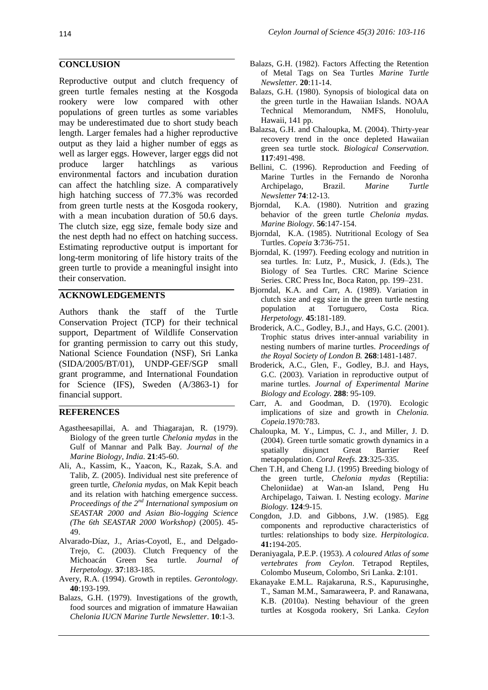### **CONCLUSION**

Reproductive output and clutch frequency of green turtle females nesting at the Kosgoda rookery were low compared with other populations of green turtles as some variables may be underestimated due to short study beach length. Larger females had a higher reproductive output as they laid a higher number of eggs as well as larger eggs. However, larger eggs did not produce larger hatchlings as various environmental factors and incubation duration can affect the hatchling size. A comparatively high hatching success of 77.3% was recorded from green turtle nests at the Kosgoda rookery, with a mean incubation duration of 50.6 days. The clutch size, egg size, female body size and the nest depth had no effect on hatching success. Estimating reproductive output is important for long-term monitoring of life history traits of the green turtle to provide a meaningful insight into their conservation.

## **ACKNOWLEDGEMENTS**

Authors thank the staff of the Turtle Conservation Project (TCP) for their technical support, Department of Wildlife Conservation for granting permission to carry out this study, National Science Foundation (NSF), Sri Lanka (SIDA/2005/BT/01), UNDP-GEF/SGP small grant programme, and International Foundation for Science (IFS), Sweden (A/3863-1) for financial support.

### **REFERENCES**

- Agastheesapillai, A. and Thiagarajan, R. (1979). Biology of the green turtle *Chelonia mydas* in the Gulf of Mannar and Palk Bay. *Journal of the Marine Biology, India.* **21**:45-60.
- Ali, A., Kassim, K., Yaacon, K., Razak, S.A. and Talib, Z. (2005). Individual nest site preference of green turtle, *Chelonia mydas*, on Mak Kepit beach and its relation with hatching emergence success. *Proceedings of the 2nd International symposium on SEASTAR 2000 and Asian Bio-logging Science (The 6th SEASTAR 2000 Workshop)* (2005). 45- 49.
- Alvarado-Díaz, J., Arias-Coyotl, E., and Delgado-Trejo, C. (2003). Clutch Frequency of the Michoacán Green Sea turtle. *Journal of Herpetology.* **37**:183-185.
- Avery, R.A. (1994). Growth in reptiles. *Gerontology.* **40**:193-199.
- Balazs, G.H. (1979). Investigations of the growth, food sources and migration of immature Hawaiian *Chelonia IUCN Marine Turtle Newsletter*. **10**:1-3.
- Balazs, G.H. (1982). Factors Affecting the Retention of Metal Tags on Sea Turtles *Marine Turtle Newsletter.* **20**:11-14.
- Balazs, G.H. (1980). Synopsis of biological data on the green turtle in the Hawaiian Islands. NOAA Technical Memorandum, NMFS, Honolulu, Hawaii, 141 pp.
- Balazsa, G.H. and Chaloupka, M. (2004). Thirty-year recovery trend in the once depleted Hawaiian green sea turtle stock. *Biological Conservation.* **117**:491-498.
- Bellini, C. (1996). Reproduction and Feeding of Marine Turtles in the Fernando de Noronha Archipelago, Brazil. *Marine Turtle Newsletter* **74**:12-13.
- Bjorndal, K.A. (1980). Nutrition and grazing behavior of the green turtle *Chelonia mydas. Marine Biology.* **56**:147-154.
- Bjorndal, K.A. (1985). Nutritional Ecology of Sea Turtles. *Copeia* **3**:736-751.
- Bjorndal, K. (1997). Feeding ecology and nutrition in sea turtles. In: Lutz, P., Musick, J. (Eds.), The Biology of Sea Turtles. CRC Marine Science Series. CRC Press Inc, Boca Raton, pp. 199–231.
- Bjorndal, K.A. and Carr, A. (1989). Variation in clutch size and egg size in the green turtle nesting population at Tortuguero, Costa Rica. *Herpetology.* **45**:181-189.
- Broderick, A.C., Godley, B.J., and Hays, G.C. (2001). Trophic status drives inter-annual variability in nesting numbers of marine turtles. *Proceedings of the Royal Society of London B.* **268**:1481-1487.
- Broderick, A.C., Glen, F., Godley, B.J. and Hays, G.C. (2003). Variation in reproductive output of marine turtles. *Journal of Experimental Marine Biology and Ecology.* **288**: 95-109.
- Carr, A. and Goodman, D. (1970). Ecologic implications of size and growth in *Chelonia. Copeia*.1970:783.
- Chaloupka, M. Y., Limpus, C. J., and Miller, J. D. (2004). Green turtle somatic growth dynamics in a spatially disjunct Great Barrier Reef metapopulation. *Coral Reefs.* **23**:325-335.
- Chen T.H, and Cheng I.J. (1995) Breeding biology of the green turtle, *Chelonia mydas* (Reptilia: Cheloniidae) at Wan-an Island, Peng Hu Archipelago, Taiwan. I. Nesting ecology. *Marine Biology.* **124**:9-15.
- Congdon, J.D. and Gibbons, J.W. (1985). Egg components and reproductive characteristics of turtles: relationships to body size. *Herpitologica.* **41:**194-205.
- Deraniyagala, P.E.P. (1953). *A coloured Atlas of some vertebrates from Ceylon*. Tetrapod Reptiles, Colombo Museum, Colombo, Sri Lanka. **2**:101.
- Ekanayake E.M.L. Rajakaruna, R.S., Kapurusinghe, T., Saman M.M., Samaraweera, P. and Ranawana, K.B. (2010a). Nesting behaviour of the green turtles at Kosgoda rookery, Sri Lanka. *Ceylon*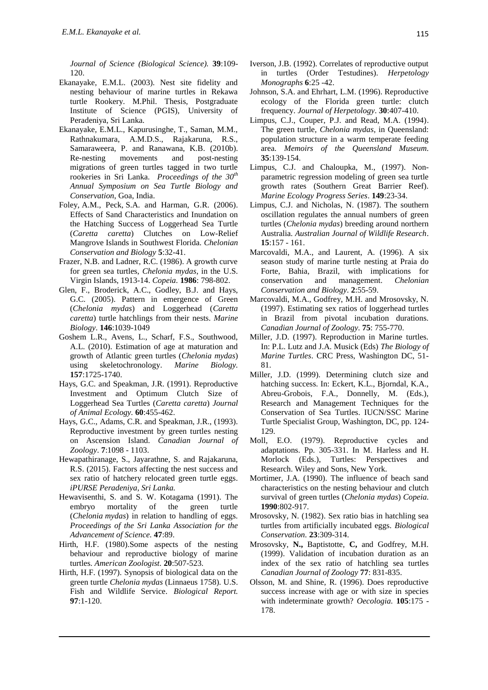*Journal of Science (Biological Science).* **39**:109- 120.

- Ekanayake, E.M.L. (2003). Nest site fidelity and nesting behaviour of marine turtles in Rekawa turtle Rookery. M.Phil. Thesis, Postgraduate Institute of Science (PGIS), University of Peradeniya, Sri Lanka.
- Ekanayake, E.M.L., Kapurusinghe, T., Saman, M.M., Rathnakumara, A.M.D.S., Rajakaruna, R.S., Samaraweera, P. and Ranawana, K.B. (2010b). Re-nesting movements and post-nesting migrations of green turtles tagged in two turtle rookeries in Sri Lanka. *Proceedings of the 30th Annual Symposium on Sea Turtle Biology and Conservation*, Goa, India.
- Foley, A.M., Peck, S.A. and Harman, G.R. (2006). Effects of Sand Characteristics and Inundation on the Hatching Success of Loggerhead Sea Turtle (*Caretta caretta*) Clutches on Low-Relief Mangrove Islands in Southwest Florida. *Chelonian Conservation and Biology* **5**:32-41.
- Frazer, N.B. and Ladner, R.C. (1986). A growth curve for green sea turtles, *Chelonia mydas*, in the U.S. Virgin Islands, 1913-14. *Copeia.* **1986**: 798-802.
- Glen, F., Broderick, A.C., Godley, B.J. and Hays, G.C. (2005). Pattern in emergence of Green (*Chelonia mydas*) and Loggerhead (*Caretta caretta*) turtle hatchlings from their nests. *Marine Biology*. **146**:1039-1049
- Goshem L.R., Avens, L., Scharf, F.S., Southwood, A.L. (2010). Estimation of age at maturation and growth of Atlantic green turtles (*Chelonia mydas*) using skeletochronology. *Marine Biology.* **157**:1725-1740.
- Hays, G.C. and Speakman, J.R. (1991). Reproductive Investment and Optimum Clutch Size of Loggerhead Sea Turtles (*Caretta caretta*) *Journal of Animal Ecology.* **60**:455-462.
- Hays, G.C., Adams, C.R. and Speakman, J.R., (1993). Reproductive investment by green turtles nesting on Ascension Island. *Canadian Journal of Zoology*. **7**:1098 - 1103.
- Hewapathiranage, S., Jayarathne, S. and Rajakaruna, R.S. (2015). Factors affecting the nest success and sex ratio of hatchery relocated green turtle eggs. *iPURSE Peradeniya, Sri Lanka.*
- Hewavisenthi, S. and S. W. Kotagama (1991). The embryo mortality of the green turtle (*Chelonia mydas*) in relation to handling of eggs. *Proceedings of the Sri Lanka Association for the Advancement of Science.* **47**:89.
- Hirth, H.F. (1980).Some aspects of the nesting behaviour and reproductive biology of marine turtles. *American Zoologist.* **20**:507-523.
- Hirth, H.F. (1997). Synopsis of biological data on the green turtle *Chelonia mydas* (Linnaeus 1758). U.S. Fish and Wildlife Service. *Biological Report.* **97**:1-120.
- Iverson, J.B. (1992). Correlates of reproductive output in turtles (Order Testudines). *Herpetology Monographs* **6**:25 -42.
- Johnson, S.A. and Ehrhart, L.M. (1996). Reproductive ecology of the Florida green turtle: clutch frequency. *Journal of Herpetology*. **30**:407-410.
- Limpus, C.J., Couper, P.J. and Read, M.A. (1994). The green turtle, *Chelonia mydas*, in Queensland: population structure in a warm temperate feeding area. *Memoirs of the Queensland Museum.* **35**:139-154.
- Limpus, C.J. and Chaloupka, M., (1997). Nonparametric regression modeling of green sea turtle growth rates (Southern Great Barrier Reef). *Marine Ecology Progress Series*. **149**:23-34.
- Limpus, C.J. and Nicholas, N. (1987). The southern oscillation regulates the annual numbers of green turtles (*Chelonia mydas*) breeding around northern Australia. *Australian Journal of Wildlife Research*. **15**:157 - 161.
- Marcovaldi, M.A., and Laurent, A. (1996). A six season study of marine turtle nesting at Praia do Forte, Bahia, Brazil, with implications for conservation and management. *Chelonian Conservation and Biology.* **2**:55-59.
- Marcovaldi, M.A., Godfrey, M.H. and Mrosovsky, N. (1997). Estimating sex ratios of loggerhead turtles in Brazil from pivotal incubation durations. *Canadian Journal of Zoology.* **75**: 755-770.
- Miller, J.D. (1997). Reproduction in Marine turtles. In: P.L. Lutz and J.A. Musick (Eds) *The Biology of Marine Turtles*. CRC Press, Washington DC, 51- 81.
- Miller, J.D. (1999). Determining clutch size and hatching success. In: Eckert, K.L., Bjorndal, K.A., Abreu-Grobois, F.A., Donnelly, M. (Eds.), Research and Management Techniques for the Conservation of Sea Turtles. IUCN/SSC Marine Turtle Specialist Group, Washington, DC, pp. 124- 129.
- Moll, E.O. (1979). Reproductive cycles and adaptations. Pp. 305-331. In M. Harless and H. Morlock (Eds.), Turtles: Perspectives and Research. Wiley and Sons, New York.
- Mortimer, J.A. (1990). The influence of beach sand characteristics on the nesting behaviour and clutch survival of green turtles (*Chelonia mydas*) *Copeia.*  **1990**:802-917.
- Mrosovsky, N. (1982). Sex ratio bias in hatchling sea turtles from artificially incubated eggs. *Biological Conservation.* **23**:309-314.
- Mrosovsky, **N.,** Baptistotte, **C,** and Godfrey, M.H. (1999). Validation of incubation duration as an index of the sex ratio of hatchling sea turtles *Canadian Journal of Zoology* **77**: 831-835.
- Olsson, M. and Shine, R. (1996). Does reproductive success increase with age or with size in species with indeterminate growth? *Oecologia.* **105**:175 - 178.